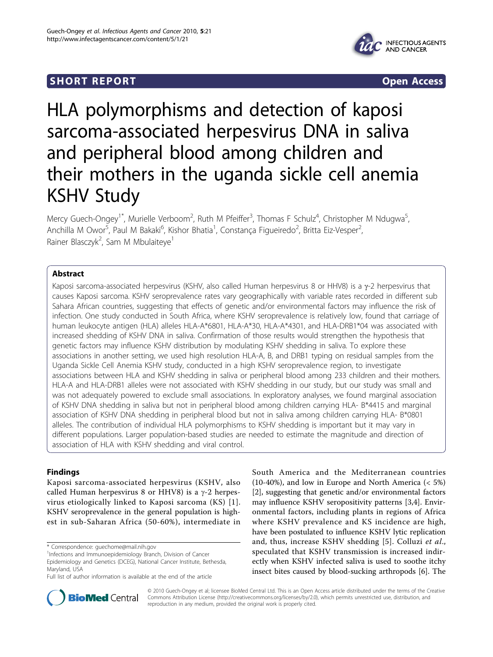## **SHORT REPORT SHORT CONSUMING THE OPEN ACCESS**



# HLA polymorphisms and detection of kaposi sarcoma-associated herpesvirus DNA in saliva and peripheral blood among children and their mothers in the uganda sickle cell anemia KSHV Study

Mercy Guech-Ongey<sup>1\*</sup>, Murielle Verboom<sup>2</sup>, Ruth M Pfeiffer<sup>3</sup>, Thomas F Schulz<sup>4</sup>, Christopher M Ndugwa<sup>5</sup> , Anchilla M Owor<sup>5</sup>, Paul M Bakaki<sup>6</sup>, Kishor Bhatia<sup>1</sup>, Constança Figueiredo<sup>2</sup>, Britta Eiz-Vesper<sup>2</sup> , Rainer Blasczyk<sup>2</sup>, Sam M Mbulaiteye<sup>1</sup>

## Abstract

Kaposi sarcoma-associated herpesvirus (KSHV, also called Human herpesvirus 8 or HHV8) is a y-2 herpesvirus that causes Kaposi sarcoma. KSHV seroprevalence rates vary geographically with variable rates recorded in different sub Sahara African countries, suggesting that effects of genetic and/or environmental factors may influence the risk of infection. One study conducted in South Africa, where KSHV seroprevalence is relatively low, found that carriage of human leukocyte antigen (HLA) alleles HLA-A\*6801, HLA-A\*30, HLA-A\*4301, and HLA-DRB1\*04 was associated with increased shedding of KSHV DNA in saliva. Confirmation of those results would strengthen the hypothesis that genetic factors may influence KSHV distribution by modulating KSHV shedding in saliva. To explore these associations in another setting, we used high resolution HLA-A, B, and DRB1 typing on residual samples from the Uganda Sickle Cell Anemia KSHV study, conducted in a high KSHV seroprevalence region, to investigate associations between HLA and KSHV shedding in saliva or peripheral blood among 233 children and their mothers. HLA-A and HLA-DRB1 alleles were not associated with KSHV shedding in our study, but our study was small and was not adequately powered to exclude small associations. In exploratory analyses, we found marginal association of KSHV DNA shedding in saliva but not in peripheral blood among children carrying HLA- B\*4415 and marginal association of KSHV DNA shedding in peripheral blood but not in saliva among children carrying HLA- B\*0801 alleles. The contribution of individual HLA polymorphisms to KSHV shedding is important but it may vary in different populations. Larger population-based studies are needed to estimate the magnitude and direction of association of HLA with KSHV shedding and viral control.

### Findings

Kaposi sarcoma-associated herpesvirus (KSHV, also called Human herpesvirus 8 or HHV8) is a  $\gamma$ -2 herpesvirus etiologically linked to Kaposi sarcoma (KS) [[1\]](#page-4-0). KSHV seroprevalence in the general population is highest in sub-Saharan Africa (50-60%), intermediate in

South America and the Mediterranean countries (10-40%), and low in Europe and North America (< 5%) [[2\]](#page-4-0), suggesting that genetic and/or environmental factors may influence KSHV seropositivity patterns [[3](#page-4-0),[4\]](#page-4-0). Environmental factors, including plants in regions of Africa where KSHV prevalence and KS incidence are high, have been postulated to influence KSHV lytic replication and, thus, increase KSHV shedding [\[5\]](#page-4-0). Colluzi et al., speculated that KSHV transmission is increased indirectly when KSHV infected saliva is used to soothe itchy insect bites caused by blood-sucking arthropods [[6\]](#page-4-0). The



© 2010 Guech-Ongey et al; licensee BioMed Central Ltd. This is an Open Access article distributed under the terms of the Creative Commons Attribution License [\(http://creativecommons.org/licenses/by/2.0](http://creativecommons.org/licenses/by/2.0)), which permits unrestricted use, distribution, and reproduction in any medium, provided the original work is properly cited.

<sup>\*</sup> Correspondence: [guechome@mail.nih.gov](mailto:guechome@mail.nih.gov)

<sup>&</sup>lt;sup>1</sup>Infections and Immunoepidemiology Branch, Division of Cancer Epidemiology and Genetics (DCEG), National Cancer Institute, Bethesda, Maryland, USA

Full list of author information is available at the end of the article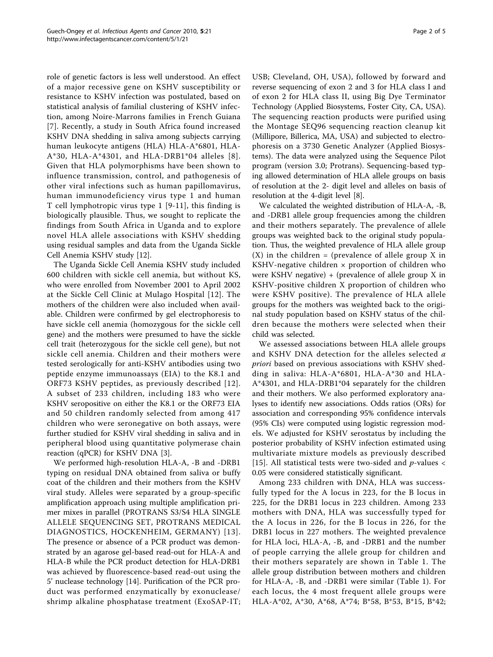role of genetic factors is less well understood. An effect of a major recessive gene on KSHV susceptibility or resistance to KSHV infection was postulated, based on statistical analysis of familial clustering of KSHV infection, among Noire-Marrons families in French Guiana [[7](#page-4-0)]. Recently, a study in South Africa found increased KSHV DNA shedding in saliva among subjects carrying human leukocyte antigens (HLA) HLA-A\*6801, HLA-A\*30, HLA-A\*4301, and HLA-DRB1\*04 alleles [[8\]](#page-4-0). Given that HLA polymorphisms have been shown to influence transmission, control, and pathogenesis of other viral infections such as human papillomavirus, human immunodeficiency virus type 1 and human T cell lymphotropic virus type 1 [[9](#page-4-0)-[11](#page-4-0)], this finding is biologically plausible. Thus, we sought to replicate the findings from South Africa in Uganda and to explore novel HLA allele associations with KSHV shedding using residual samples and data from the Uganda Sickle Cell Anemia KSHV study [\[12\]](#page-4-0).

The Uganda Sickle Cell Anemia KSHV study included 600 children with sickle cell anemia, but without KS, who were enrolled from November 2001 to April 2002 at the Sickle Cell Clinic at Mulago Hospital [\[12\]](#page-4-0). The mothers of the children were also included when available. Children were confirmed by gel electrophoresis to have sickle cell anemia (homozygous for the sickle cell gene) and the mothers were presumed to have the sickle cell trait (heterozygous for the sickle cell gene), but not sickle cell anemia. Children and their mothers were tested serologically for anti-KSHV antibodies using two peptide enzyme immunoassays (EIA) to the K8.1 and ORF73 KSHV peptides, as previously described [\[12\]](#page-4-0). A subset of 233 children, including 183 who were KSHV seropositive on either the K8.1 or the ORF73 EIA and 50 children randomly selected from among 417 children who were seronegative on both assays, were further studied for KSHV viral shedding in saliva and in peripheral blood using quantitative polymerase chain reaction (qPCR) for KSHV DNA [\[3](#page-4-0)].

We performed high-resolution HLA-A, -B and -DRB1 typing on residual DNA obtained from saliva or buffy coat of the children and their mothers from the KSHV viral study. Alleles were separated by a group-specific amplification approach using multiple amplification primer mixes in parallel (PROTRANS S3/S4 HLA SINGLE ALLELE SEQUENCING SET, PROTRANS MEDICAL DIAGNOSTICS, HOCKENHEIM, GERMANY) [[13\]](#page-4-0). The presence or absence of a PCR product was demonstrated by an agarose gel-based read-out for HLA-A and HLA-B while the PCR product detection for HLA-DRB1 was achieved by fluorescence-based read-out using the 5' nuclease technology [\[14](#page-4-0)]. Purification of the PCR product was performed enzymatically by exonuclease/ shrimp alkaline phosphatase treatment (ExoSAP-IT; USB; Cleveland, OH, USA), followed by forward and reverse sequencing of exon 2 and 3 for HLA class I and of exon 2 for HLA class II, using Big Dye Terminator Technology (Applied Biosystems, Foster City, CA, USA). The sequencing reaction products were purified using the Montage SEQ96 sequencing reaction cleanup kit (Millipore, Billerica, MA, USA) and subjected to electrophoresis on a 3730 Genetic Analyzer (Applied Biosystems). The data were analyzed using the Sequence Pilot program (version 3.0; Protrans). Sequencing-based typing allowed determination of HLA allele groups on basis of resolution at the 2- digit level and alleles on basis of resolution at the 4-digit level [\[8](#page-4-0)].

We calculated the weighted distribution of HLA-A, -B, and -DRB1 allele group frequencies among the children and their mothers separately. The prevalence of allele groups was weighted back to the original study population. Thus, the weighted prevalence of HLA allele group  $(X)$  in the children = (prevalence of allele group X in KSHV-negative children × proportion of children who were KSHV negative)  $+$  (prevalence of allele group X in KSHV-positive children X proportion of children who were KSHV positive). The prevalence of HLA allele groups for the mothers was weighted back to the original study population based on KSHV status of the children because the mothers were selected when their child was selected.

We assessed associations between HLA allele groups and KSHV DNA detection for the alleles selected a priori based on previous associations with KSHV shedding in saliva: HLA-A\*6801, HLA-A\*30 and HLA-A\*4301, and HLA-DRB1\*04 separately for the children and their mothers. We also performed exploratory analyses to identify new associations. Odds ratios (ORs) for association and corresponding 95% confidence intervals (95% CIs) were computed using logistic regression models. We adjusted for KSHV serostatus by including the posterior probability of KSHV infection estimated using multivariate mixture models as previously described [[15](#page-4-0)]. All statistical tests were two-sided and  $p$ -values  $\lt$ 0.05 were considered statistically significant.

Among 233 children with DNA, HLA was successfully typed for the A locus in 223, for the B locus in 225, for the DRB1 locus in 223 children. Among 233 mothers with DNA, HLA was successfully typed for the A locus in 226, for the B locus in 226, for the DRB1 locus in 227 mothers. The weighted prevalence for HLA loci, HLA-A, -B, and -DRB1 and the number of people carrying the allele group for children and their mothers separately are shown in Table [1](#page-2-0). The allele group distribution between mothers and children for HLA-A, -B, and -DRB1 were similar (Table [1](#page-2-0)). For each locus, the 4 most frequent allele groups were HLA-A\*02, A\*30, A\*68, A\*74; B\*58, B\*53, B\*15, B\*42;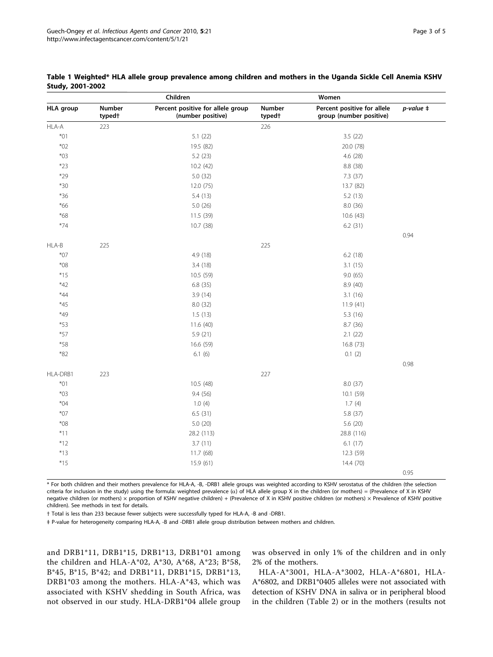|                  |                                     | Children                                               |                              |                                                        |                       |
|------------------|-------------------------------------|--------------------------------------------------------|------------------------------|--------------------------------------------------------|-----------------------|
| <b>HLA</b> group | <b>Number</b><br>typed <sup>+</sup> | Percent positive for allele group<br>(number positive) | Number<br>typed <sup>+</sup> | Percent positive for allele<br>group (number positive) | $p$ -value $\ddagger$ |
| HLA-A            | 223                                 |                                                        | 226                          |                                                        |                       |
| $*01$            |                                     | 5.1(22)                                                |                              | 3.5(22)                                                |                       |
| $*02$            |                                     | 19.5 (82)                                              |                              | 20.0 (78)                                              |                       |
| $*03$            |                                     | 5.2(23)                                                |                              | 4.6(28)                                                |                       |
| $*23$            |                                     | 10.2 (42)                                              |                              | 8.8 (38)                                               |                       |
| $*29$            |                                     | 5.0(32)                                                |                              | 7.3 (37)                                               |                       |
| $*30$            |                                     | 12.0 (75)                                              |                              | 13.7 (82)                                              |                       |
| $*36$            |                                     | 5.4(13)                                                |                              | 5.2(13)                                                |                       |
| $*66$            |                                     | 5.0(26)                                                |                              | 8.0 (36)                                               |                       |
| $*68$            |                                     | 11.5 (39)                                              |                              | 10.6 (43)                                              |                       |
| $*74$            |                                     | 10.7 (38)                                              |                              | 6.2(31)                                                |                       |
|                  |                                     |                                                        |                              |                                                        | 0.94                  |
| HLA-B            | 225                                 |                                                        | 225                          |                                                        |                       |
| $*07$            |                                     | 4.9 (18)                                               |                              | 6.2(18)                                                |                       |
| $*08$            |                                     | 3.4(18)                                                |                              | 3.1(15)                                                |                       |
| $*15$            |                                     | 10.5 (59)                                              |                              | 9.0(65)                                                |                       |
| *42              |                                     | 6.8(35)                                                |                              | 8.9(40)                                                |                       |
| $*44$            |                                     | 3.9(14)                                                |                              | 3.1(16)                                                |                       |
| $*45$            |                                     | 8.0(32)                                                |                              | 11.9(41)                                               |                       |
| $*49$            |                                     | 1.5(13)                                                |                              | 5.3 (16)                                               |                       |
| *53              |                                     | 11.6(40)                                               |                              | 8.7 (36)                                               |                       |
| $*57$            |                                     | 5.9(21)                                                |                              | 2.1(22)                                                |                       |
| $*58$            |                                     | 16.6 (59)                                              |                              | 16.8 (73)                                              |                       |
| $*82$            |                                     | 6.1(6)                                                 |                              | 0.1(2)                                                 |                       |
|                  |                                     |                                                        |                              |                                                        | 0.98                  |
| HLA-DRB1         | 223                                 |                                                        | 227                          |                                                        |                       |
| $*01$            |                                     | 10.5 (48)                                              |                              | 8.0 (37)                                               |                       |
| $*03$            |                                     | 9.4 (56)                                               |                              | 10.1 (59)                                              |                       |
| $*04$            |                                     | 1.0(4)                                                 |                              | 1.7(4)                                                 |                       |
| $*07$            |                                     | 6.5(31)                                                |                              | 5.8 (37)                                               |                       |
| $*08$            |                                     | 5.0(20)                                                |                              | 5.6 (20)                                               |                       |
| $*11$            |                                     | 28.2 (113)                                             |                              | 28.8 (116)                                             |                       |
| $*12$            |                                     | 3.7(11)                                                |                              | 6.1(17)                                                |                       |
| $*13$            |                                     | 11.7 (68)                                              |                              | 12.3 (59)                                              |                       |
| $*15$            |                                     | 15.9 (61)                                              |                              | 14.4 (70)                                              |                       |
|                  |                                     |                                                        |                              |                                                        | 0.95                  |

<span id="page-2-0"></span>Table 1 Weighted\* HLA allele group prevalence among children and mothers in the Uganda Sickle Cell Anemia KSHV Study, 2001-2002

\* For both children and their mothers prevalence for HLA-A, -B, -DRB1 allele groups was weighted according to KSHV serostatus of the children (the selection criteria for inclusion in the study) using the formula: weighted prevalence  $(\alpha)$  of HLA allele group X in the children (or mothers) = (Prevalence of X in KSHV negative children (or mothers) × proportion of KSHV negative children) + (Prevalence of X in KSHV positive children (or mothers) × Prevalence of KSHV positive children). See methods in text for details.

† Total is less than 233 because fewer subjects were successfully typed for HLA-A, -B and -DRB1.

‡ P-value for heterogeneity comparing HLA-A, -B and -DRB1 allele group distribution between mothers and children.

and DRB1\*11, DRB1\*15, DRB1\*13, DRB1\*01 among the children and HLA-A\*02, A\*30, A\*68, A\*23; B\*58, B\*45, B\*15, B\*42; and DRB1\*11, DRB1\*15, DRB1\*13, DRB1\*03 among the mothers. HLA-A\*43, which was associated with KSHV shedding in South Africa, was not observed in our study. HLA-DRB1\*04 allele group was observed in only 1% of the children and in only 2% of the mothers.

HLA-A\*3001, HLA-A\*3002, HLA-A\*6801, HLA-A\*6802, and DRB1\*0405 alleles were not associated with detection of KSHV DNA in saliva or in peripheral blood in the children (Table [2\)](#page-3-0) or in the mothers (results not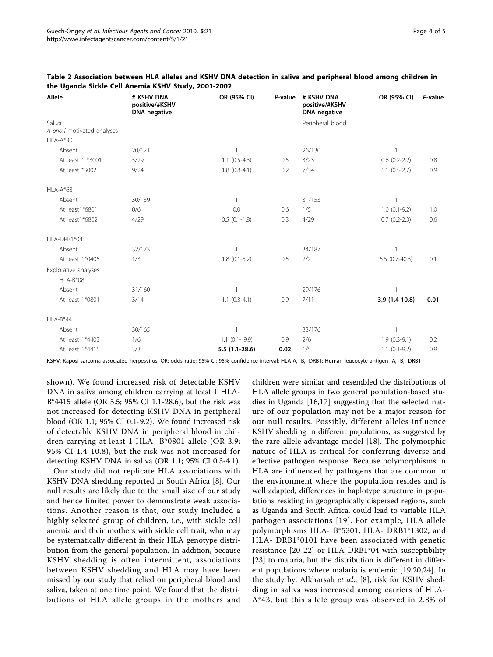| <b>Allele</b>                         | # KSHV DNA<br>positive/#KSHV<br><b>DNA</b> negative | OR (95% CI)       | P-value | # KSHV DNA<br>positive/#KSHV<br><b>DNA</b> negative | OR (95% CI)         | P-value |
|---------------------------------------|-----------------------------------------------------|-------------------|---------|-----------------------------------------------------|---------------------|---------|
| Saliva<br>A priori-motivated analyses |                                                     |                   |         | Peripheral blood                                    |                     |         |
| $HLA-A*30$                            |                                                     |                   |         |                                                     |                     |         |
| Absent                                | 20/121                                              | $\overline{1}$    |         | 26/130                                              | $\overline{1}$      |         |
| At least 1 *3001                      | 5/29                                                | $1.1(0.5-4.3)$    | 0.5     | 3/23                                                | $0.6(0.2-2.2)$      | 0.8     |
| At least *3002                        | 9/24                                                | $1.8(0.8-4.1)$    | 0.2     | 7/34                                                | $1.1 (0.5 - 2.7)$   | 0.9     |
| $HLA-A*68$                            |                                                     |                   |         |                                                     |                     |         |
| Absent                                | 30/139                                              | $\mathbf{1}$      |         | 31/153                                              | 1                   |         |
| At least1*6801                        | 0/6                                                 | 0.0               | 0.6     | 1/5                                                 | $1.0(0.1-9.2)$      | 1.0     |
| At least1*6802                        | 4/29                                                | $0.5(0.1-1.8)$    | 0.3     | 4/29                                                | $0.7$ $(0.2 - 2.3)$ | 0.6     |
| HLA-DRB1*04                           |                                                     |                   |         |                                                     |                     |         |
| Absent                                | 32/173                                              | 1                 |         | 34/187                                              | 1                   |         |
| At least 1*0405                       | 1/3                                                 | $1.8(0.1-5.2)$    | 0.5     | 2/2                                                 | $5.5(0.7-40.3)$     | 0.1     |
| Explorative analyses                  |                                                     |                   |         |                                                     |                     |         |
| HLA-B*08                              |                                                     |                   |         |                                                     |                     |         |
| Absent                                | 31/160                                              | $\mathbf{1}$      |         | 29/176                                              | $\mathbf{1}$        |         |
| At least 1*0801                       | 3/14                                                | $1.1 (0.3 - 4.1)$ | 0.9     | 7/11                                                | 3.9 (1.4-10.8)      | 0.01    |
| $HLA-B*44$                            |                                                     |                   |         |                                                     |                     |         |
| Absent                                | 30/165                                              | $\mathbf{1}$      |         | 33/176                                              | $\mathbf{1}$        |         |
| At least 1*4403                       | 1/6                                                 | $1.1$ (0.1 - 9.9) | 0.9     | 2/6                                                 | $1.9(0.3-9.1)$      | 0.2     |
| At least 1*4415                       | 3/3                                                 | $5.5(1.1-28.6)$   | 0.02    | 1/5                                                 | $1.1(0.1-9.2)$      | 0.9     |

<span id="page-3-0"></span>

| Table 2 Association between HLA alleles and KSHV DNA detection in saliva and peripheral blood among children in |  |  |  |  |  |  |
|-----------------------------------------------------------------------------------------------------------------|--|--|--|--|--|--|
| the Uganda Sickle Cell Anemia KSHV Study, 2001-2002                                                             |  |  |  |  |  |  |

KSHV: Kaposi-sarcoma-associated herpesvirus; OR: odds ratio; 95% CI: 95% confidence interval; HLA-A, -B, -DRB1: Human leucocyte antigen -A, -B, -DRB1

shown). We found increased risk of detectable KSHV DNA in saliva among children carrying at least 1 HLA-B\*4415 allele (OR 5.5; 95% CI 1.1-28.6), but the risk was not increased for detecting KSHV DNA in peripheral blood (OR 1.1; 95% CI 0.1-9.2). We found increased risk of detectable KSHV DNA in peripheral blood in children carrying at least 1 HLA- B\*0801 allele (OR 3.9; 95% CI 1.4-10.8), but the risk was not increased for detecting KSHV DNA in saliva (OR 1.1; 95% CI 0.3-4.1).

Our study did not replicate HLA associations with KSHV DNA shedding reported in South Africa [\[8](#page-4-0)]. Our null results are likely due to the small size of our study and hence limited power to demonstrate weak associations. Another reason is that, our study included a highly selected group of children, i.e., with sickle cell anemia and their mothers with sickle cell trait, who may be systematically different in their HLA genotype distribution from the general population. In addition, because KSHV shedding is often intermittent, associations between KSHV shedding and HLA may have been missed by our study that relied on peripheral blood and saliva, taken at one time point. We found that the distributions of HLA allele groups in the mothers and

children were similar and resembled the distributions of HLA allele groups in two general population-based studies in Uganda [\[16,17](#page-4-0)] suggesting that the selected nature of our population may not be a major reason for our null results. Possibly, different alleles influence KSHV shedding in different populations, as suggested by the rare-allele advantage model [[18](#page-4-0)]. The polymorphic nature of HLA is critical for conferring diverse and effective pathogen response. Because polymorphisms in HLA are influenced by pathogens that are common in the environment where the population resides and is well adapted, differences in haplotype structure in populations residing in geographically dispersed regions, such as Uganda and South Africa, could lead to variable HLA pathogen associations [[19\]](#page-4-0). For example, HLA allele polymorphisms HLA- B\*5301, HLA- DRB1\*1302, and HLA- DRB1\*0101 have been associated with genetic resistance [[20-22\]](#page-4-0) or HLA-DRB1\*04 with susceptibility [[23\]](#page-4-0) to malaria, but the distribution is different in different populations where malaria is endemic [[19,20,24\]](#page-4-0). In the study by, Alkharsah *et al.*, [\[8](#page-4-0)], risk for KSHV shedding in saliva was increased among carriers of HLA-A\*43, but this allele group was observed in 2.8% of